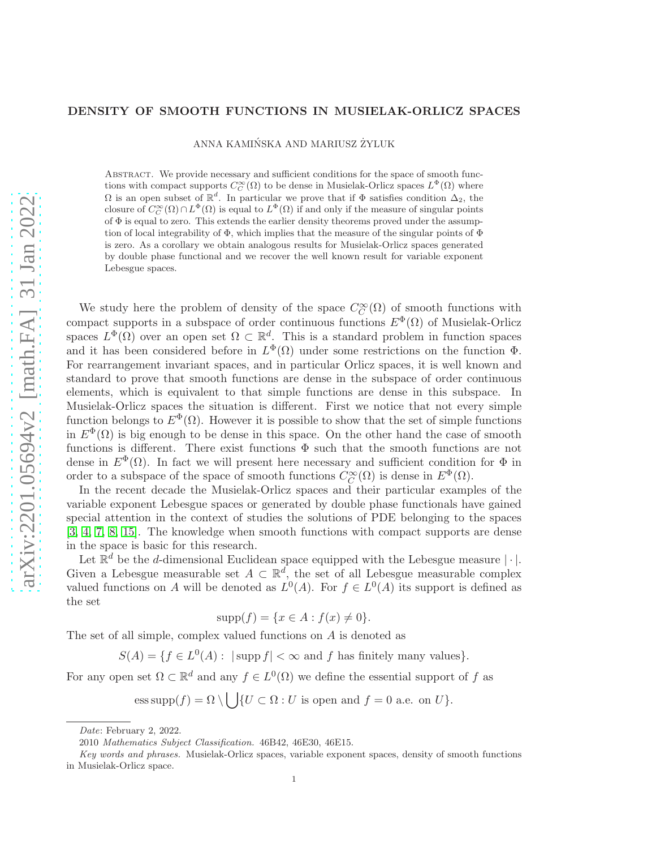## DENSITY OF SMOOTH FUNCTIONS IN MUSIELAK-ORLICZ SPACES

ANNA KAMIŃSKA AND MARIUSZ ŻYLUK

Abstract. We provide necessary and sufficient conditions for the space of smooth functions with compact supports  $C_C^{\infty}(\Omega)$  to be dense in Musielak-Orlicz spaces  $L^{\Phi}(\Omega)$  where  $\Omega$  is an open subset of  $\mathbb{R}^d$ . In particular we prove that if  $\Phi$  satisfies condition  $\Delta_2$ , the closure of  $C_C^{\infty}(\Omega) \cap L^{\Phi}(\Omega)$  is equal to  $L^{\Phi}(\Omega)$  if and only if the measure of singular points of  $\Phi$  is equal to zero. This extends the earlier density theorems proved under the assumption of local integrability of  $\Phi$ , which implies that the measure of the singular points of  $\Phi$ is zero. As a corollary we obtain analogous results for Musielak-Orlicz spaces generated by double phase functional and we recover the well known result for variable exponent Lebesgue spaces.

We study here the problem of density of the space  $C_C^{\infty}(\Omega)$  of smooth functions with compact supports in a subspace of order continuous functions  $E^{\Phi}(\Omega)$  of Musielak-Orlicz spaces  $L^{\Phi}(\Omega)$  over an open set  $\Omega \subset \mathbb{R}^d$ . This is a standard problem in function spaces and it has been considered before in  $L^{\Phi}(\Omega)$  under some restrictions on the function  $\Phi$ . For rearrangement invariant spaces, and in particular Orlicz spaces, it is well known and standard to prove that smooth functions are dense in the subspace of order continuous elements, which is equivalent to that simple functions are dense in this subspace. In Musielak-Orlicz spaces the situation is different. First we notice that not every simple function belongs to  $E^{\Phi}(\Omega)$ . However it is possible to show that the set of simple functions in  $E^{\Phi}(\Omega)$  is big enough to be dense in this space. On the other hand the case of smooth functions is different. There exist functions  $\Phi$  such that the smooth functions are not dense in  $E^{\Phi}(\Omega)$ . In fact we will present here necessary and sufficient condition for  $\Phi$  in order to a subspace of the space of smooth functions  $C_C^{\infty}(\Omega)$  is dense in  $E^{\Phi}(\Omega)$ .

In the recent decade the Musielak-Orlicz spaces and their particular examples of the variable exponent Lebesgue spaces or generated by double phase functionals have gained special attention in the context of studies the solutions of PDE belonging to the spaces [\[3,](#page-9-0) [4,](#page-9-1) [7,](#page-9-2) [8,](#page-9-3) [15\]](#page-10-0). The knowledge when smooth functions with compact supports are dense in the space is basic for this research.

Let  $\mathbb{R}^d$  be the *d*-dimensional Euclidean space equipped with the Lebesgue measure  $|\cdot|$ . Given a Lebesgue measurable set  $A \subset \mathbb{R}^d$ , the set of all Lebesgue measurable complex valued functions on A will be denoted as  $L^0(A)$ . For  $f \in L^0(A)$  its support is defined as the set

$$
supp(f) = \{x \in A : f(x) \neq 0\}.
$$

The set of all simple, complex valued functions on A is denoted as

 $S(A) = \{ f \in L^0(A) : |\text{supp } f| < \infty \text{ and } f \text{ has finitely many values} \}.$ 

For any open set  $\Omega \subset \mathbb{R}^d$  and any  $f \in L^0(\Omega)$  we define the essential support of f as

ess supp $(f) = \Omega \setminus \bigcup \{U \subset \Omega : U \text{ is open and } f = 0 \text{ a.e. on } U\}.$ 

Date: February 2, 2022.

<sup>2010</sup> Mathematics Subject Classification. 46B42, 46E30, 46E15.

Key words and phrases. Musielak-Orlicz spaces, variable exponent spaces, density of smooth functions in Musielak-Orlicz space.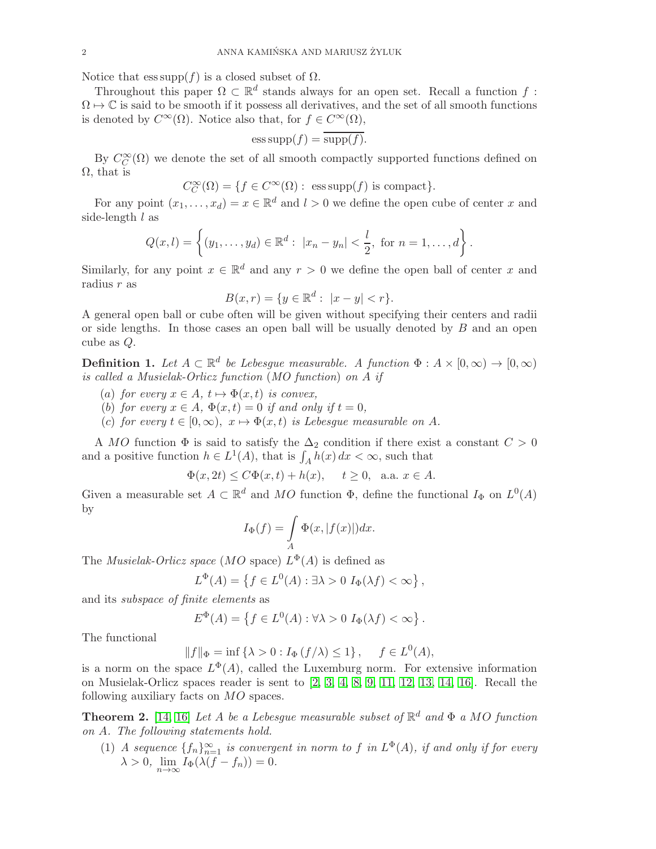Notice that  $ess supp(f)$  is a closed subset of  $\Omega$ .

Throughout this paper  $\Omega \subset \mathbb{R}^d$  stands always for an open set. Recall a function f:  $\Omega \mapsto \mathbb{C}$  is said to be smooth if it possess all derivatives, and the set of all smooth functions is denoted by  $C^{\infty}(\Omega)$ . Notice also that, for  $f \in C^{\infty}(\Omega)$ ,

$$
ess \operatorname{supp}(f) = \overline{\operatorname{supp}(f)}.
$$

By  $C_C^{\infty}(\Omega)$  we denote the set of all smooth compactly supported functions defined on  $\Omega$ , that is

$$
C_C^{\infty}(\Omega) = \{ f \in C^{\infty}(\Omega) : \text{ ess supp}(f) \text{ is compact} \}.
$$

For any point  $(x_1, \ldots, x_d) = x \in \mathbb{R}^d$  and  $l > 0$  we define the open cube of center x and side-length  $l$  as

$$
Q(x,l) = \left\{ (y_1, \ldots, y_d) \in \mathbb{R}^d : |x_n - y_n| < \frac{l}{2}, \text{ for } n = 1, \ldots, d \right\}.
$$

Similarly, for any point  $x \in \mathbb{R}^d$  and any  $r > 0$  we define the open ball of center x and radius  $r$  as

$$
B(x,r) = \{ y \in \mathbb{R}^d : |x - y| < r \}.
$$

A general open ball or cube often will be given without specifying their centers and radii or side lengths. In those cases an open ball will be usually denoted by  $B$  and an open cube as Q.

**Definition 1.** Let  $A \subset \mathbb{R}^d$  be Lebesgue measurable. A function  $\Phi : A \times [0, \infty) \to [0, \infty)$ is called a Musielak-Orlicz function (MO function) on A if

- (a) for every  $x \in A$ ,  $t \mapsto \Phi(x, t)$  is convex,
- (b) for every  $x \in A$ ,  $\Phi(x,t) = 0$  if and only if  $t = 0$ ,
- (c) for every  $t \in [0,\infty)$ ,  $x \mapsto \Phi(x,t)$  is Lebesque measurable on A.

A MO function  $\Phi$  is said to satisfy the  $\Delta_2$  condition if there exist a constant  $C > 0$ and a positive function  $h \in L^1(A)$ , that is  $\int_A h(x) dx < \infty$ , such that

$$
\Phi(x, 2t) \le C\Phi(x, t) + h(x), \quad t \ge 0, \text{ a.a. } x \in A.
$$

Given a measurable set  $A \subset \mathbb{R}^d$  and MO function  $\Phi$ , define the functional  $I_{\Phi}$  on  $L^0(A)$ by

$$
I_{\Phi}(f) = \int\limits_{A} \Phi(x, |f(x)|) dx.
$$

The *Musielak-Orlicz space* (*MO* space)  $L^{\Phi}(A)$  is defined as

$$
L^{\Phi}(A) = \left\{ f \in L^0(A) : \exists \lambda > 0 \ I_{\Phi}(\lambda f) < \infty \right\},\
$$

and its subspace of finite elements as

$$
E^{\Phi}(A) = \left\{ f \in L^{0}(A) : \forall \lambda > 0 \ I_{\Phi}(\lambda f) < \infty \right\}.
$$

The functional

 $|| f ||_{\Phi} = \inf \{ \lambda > 0 : I_{\Phi} (f / \lambda) \leq 1 \}, \quad f \in L^{0}(A),$ 

is a norm on the space  $L^{\Phi}(A)$ , called the Luxemburg norm. For extensive information on Musielak-Orlicz spaces reader is sent to [\[2,](#page-9-4) [3,](#page-9-0) [4,](#page-9-1) [8,](#page-9-3) [9,](#page-9-5) [11,](#page-9-6) [12,](#page-9-7) [13,](#page-10-1) [14,](#page-10-2) [16\]](#page-10-3). Recall the following auxiliary facts on MO spaces.

<span id="page-1-0"></span>**Theorem 2.** [\[14,](#page-10-2) [16\]](#page-10-3) Let A be a Lebesgue measurable subset of  $\mathbb{R}^d$  and  $\Phi$  a MO function on A. The following statements hold.

(1) A sequence  $\{f_n\}_{n=1}^{\infty}$  is convergent in norm to f in  $L^{\Phi}(A)$ , if and only if for every  $\lambda > 0$ ,  $\lim_{n \to \infty} I_{\Phi}(\lambda(f - f_n)) = 0$ .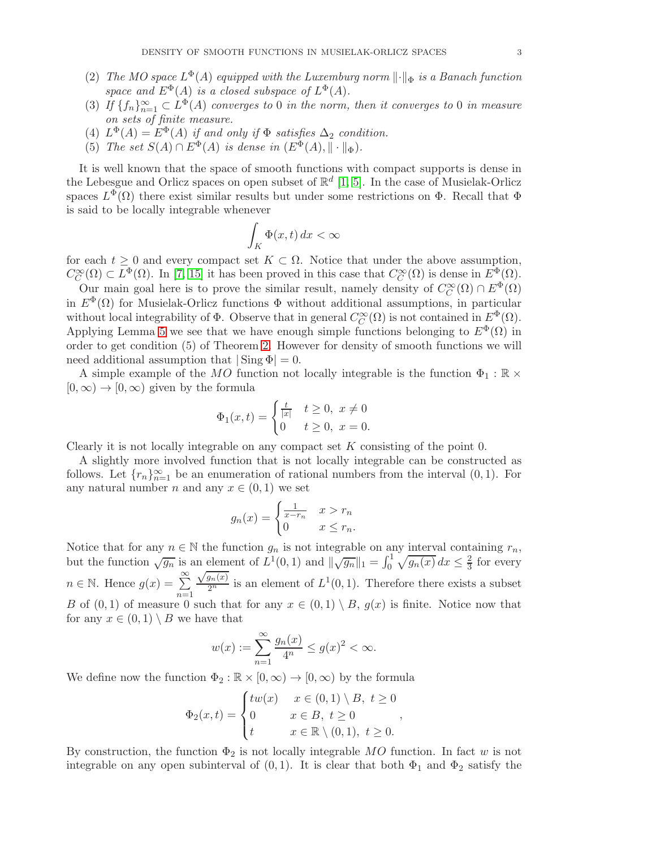- (2) The MO space  $L^{\Phi}(A)$  equipped with the Luxemburg norm  $\lVert \cdot \rVert_{\Phi}$  is a Banach function space and  $E^{\Phi}(A)$  is a closed subspace of  $L^{\Phi}(A)$ .
- (3) If  ${f_n}_{n=1}^{\infty} \subset L^{\Phi}(A)$  converges to 0 in the norm, then it converges to 0 in measure on sets of finite measure.
- (4)  $L^{\Phi}(A) = E^{\Phi}(A)$  if and only if  $\Phi$  satisfies  $\Delta_2$  condition.
- (5) The set  $S(A) \cap E^{\Phi}(A)$  is dense in  $(E^{\Phi}(A), \|\cdot\|_{\Phi})$ .

It is well known that the space of smooth functions with compact supports is dense in the Lebesgue and Orlicz spaces on open subset of  $\mathbb{R}^d$  [\[1,](#page-9-8) [5\]](#page-9-9). In the case of Musielak-Orlicz spaces  $L^{\Phi}(\Omega)$  there exist similar results but under some restrictions on  $\Phi$ . Recall that  $\Phi$ is said to be locally integrable whenever

$$
\int_K \Phi(x,t) \, dx < \infty
$$

for each  $t \geq 0$  and every compact set  $K \subset \Omega$ . Notice that under the above assumption,  $C_C^{\infty}(\Omega) \subset L^{\Phi}(\Omega)$ . In [\[7,](#page-9-2) [15\]](#page-10-0) it has been proved in this case that  $C_C^{\infty}(\Omega)$  is dense in  $E^{\Phi}(\Omega)$ .

Our main goal here is to prove the similar result, namely density of  $C_C^{\infty}(\Omega) \cap E^{\Phi}(\Omega)$ in  $E^{\Phi}(\Omega)$  for Musielak-Orlicz functions  $\Phi$  without additional assumptions, in particular without local integrability of  $\Phi$ . Observe that in general  $C_C^{\infty}(\Omega)$  is not contained in  $E^{\Phi}(\Omega)$ . Applying Lemma [5](#page-3-0) we see that we have enough simple functions belonging to  $E^{\Phi}(\Omega)$  in order to get condition (5) of Theorem [2.](#page-1-0) However for density of smooth functions we will need additional assumption that  $|\text{Sing }\Phi|=0$ .

A simple example of the MO function not locally integrable is the function  $\Phi_1 : \mathbb{R} \times$  $[0,\infty) \rightarrow [0,\infty)$  given by the formula

$$
\Phi_1(x,t) = \begin{cases} \frac{t}{|x|} & t \ge 0, \ x \ne 0 \\ 0 & t \ge 0, \ x = 0. \end{cases}
$$

Clearly it is not locally integrable on any compact set  $K$  consisting of the point 0.

A slightly more involved function that is not locally integrable can be constructed as follows. Let  $\{r_n\}_{n=1}^{\infty}$  be an enumeration of rational numbers from the interval  $(0, 1)$ . For any natural number n and any  $x \in (0,1)$  we set

$$
g_n(x) = \begin{cases} \frac{1}{x - r_n} & x > r_n \\ 0 & x \le r_n. \end{cases}
$$

Notice that for any  $n \in \mathbb{N}$  the function  $g_n$  is not integrable on any interval containing  $r_n$ , but the function  $\sqrt{g_n}$  is an element of  $L^1(0,1)$  and  $\|\sqrt{g_n}\|_1 = \int_0^1 \sqrt{g_n(x)} dx \leq \frac{2}{3}$  for every  $n \in \mathbb{N}$ . Hence  $g(x) = \sum_{n=1}^{\infty}$  $\frac{\sqrt{g_n(x)}}{2^n}$  is an element of  $L^1(0,1)$ . Therefore there exists a subset B of  $(0, 1)$  of measure 0 such that for any  $x \in (0, 1) \setminus B$ ,  $g(x)$  is finite. Notice now that for any  $x \in (0,1) \setminus B$  we have that

$$
w(x) := \sum_{n=1}^{\infty} \frac{g_n(x)}{4^n} \le g(x)^2 < \infty.
$$

We define now the function  $\Phi_2 : \mathbb{R} \times [0, \infty) \to [0, \infty)$  by the formula

$$
\Phi_2(x,t) = \begin{cases} tw(x) & x \in (0,1) \setminus B, \ t \ge 0 \\ 0 & x \in B, \ t \ge 0 \\ t & x \in \mathbb{R} \setminus (0,1), \ t \ge 0. \end{cases}
$$

By construction, the function  $\Phi_2$  is not locally integrable MO function. In fact w is not integrable on any open subinterval of  $(0, 1)$ . It is clear that both  $\Phi_1$  and  $\Phi_2$  satisfy the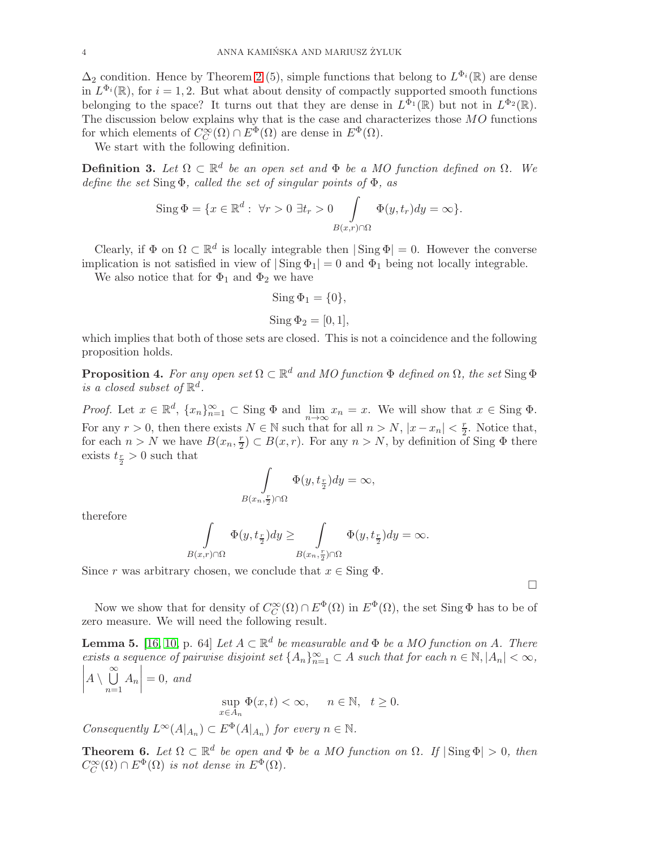$\Delta_2$  condition. Hence by Theorem [2](#page-1-0) (5), simple functions that belong to  $L^{\Phi_i}(\mathbb{R})$  are dense in  $L^{\Phi_i}(\mathbb{R})$ , for  $i = 1, 2$ . But what about density of compactly supported smooth functions belonging to the space? It turns out that they are dense in  $L^{\Phi_1}(\mathbb{R})$  but not in  $L^{\Phi_2}(\mathbb{R})$ . The discussion below explains why that is the case and characterizes those MO functions for which elements of  $C_C^{\infty}(\Omega) \cap E^{\Phi}(\Omega)$  are dense in  $E^{\Phi}(\Omega)$ .

We start with the following definition.

**Definition 3.** Let  $\Omega \subset \mathbb{R}^d$  be an open set and  $\Phi$  be a MO function defined on  $\Omega$ . We define the set  $Sing\Phi$ , called the set of singular points of  $\Phi$ , as

Sing 
$$
\Phi = \{x \in \mathbb{R}^d : \forall r > 0 \ \exists t_r > 0 \int_{B(x,r) \cap \Omega} \Phi(y, t_r) dy = \infty \}.
$$

Clearly, if  $\Phi$  on  $\Omega \subset \mathbb{R}^d$  is locally integrable then  $|\operatorname{Sing} \Phi| = 0$ . However the converse implication is not satisfied in view of  $|\text{Sing }\Phi_1|=0$  and  $\Phi_1$  being not locally integrable.

We also notice that for  $\Phi_1$  and  $\Phi_2$  we have

$$
\operatorname{Sing} \Phi_1 = \{0\},
$$
  

$$
\operatorname{Sing} \Phi_2 = [0, 1],
$$

which implies that both of those sets are closed. This is not a coincidence and the following proposition holds.

<span id="page-3-1"></span>**Proposition 4.** For any open set  $\Omega \subset \mathbb{R}^d$  and MO function  $\Phi$  defined on  $\Omega$ , the set Sing  $\Phi$ is a closed subset of  $\mathbb{R}^d$ .

Proof. Let  $x \in \mathbb{R}^d$ ,  $\{x_n\}_{n=1}^{\infty} \subset$  Sing  $\Phi$  and  $\lim_{n \to \infty} x_n = x$ . We will show that  $x \in$  Sing  $\Phi$ . For any  $r > 0$ , then there exists  $N \in \mathbb{N}$  such that for all  $n > N$ ,  $|x - x_n| < \frac{r}{2}$  $\frac{r}{2}$ . Notice that, for each  $n > N$  we have  $B(x_n, \frac{r}{2})$  $\frac{r}{2} \subset B(x,r)$ . For any  $n > N$ , by definition of Sing  $\Phi$  there exists  $t_{\frac{r}{2}} > 0$  such that

$$
\int_{B(x_n,\frac{r}{2})\cap\Omega} \Phi(y,t_{\frac{r}{2}})dy = \infty,
$$

therefore

$$
\int_{B(x,r)\cap\Omega} \Phi(y,t_{\frac{r}{2}})dy \geq \int_{B(x_n,\frac{r}{2})\cap\Omega} \Phi(y,t_{\frac{r}{2}})dy = \infty.
$$

Since r was arbitrary chosen, we conclude that  $x \in \text{Sing } \Phi$ .

Now we show that for density of  $C_C^{\infty}(\Omega) \cap E^{\Phi}(\Omega)$  in  $E^{\Phi}(\Omega)$ , the set Sing  $\Phi$  has to be of zero measure. We will need the following result.

<span id="page-3-0"></span>**Lemma 5.** [\[16,](#page-10-3) [10,](#page-9-10) p. 64] Let  $A \subset \mathbb{R}^d$  be measurable and  $\Phi$  be a MO function on A. There exists a sequence of pairwise disjoint set  $\{A_n\}_{n=1}^{\infty} \subset A$  such that for each  $n \in \mathbb{N}, |A_n| < \infty$ ,  $\begin{array}{c} \begin{array}{c} \begin{array}{c} \begin{array}{c} \end{array} \\ \end{array} \\ \begin{array}{c} \end{array} \end{array} \end{array} \end{array}$  $A\setminus \bigcup^{\infty}$  $n=1$  $A_n$  $= 0$ , and sup  $\sup_{x \in A_n} \Phi(x, t) < \infty$ ,  $n \in \mathbb{N}, t \geq 0$ .

Consequently  $L^{\infty}(A|_{A_n}) \subset E^{\Phi}(A|_{A_n})$  for every  $n \in \mathbb{N}$ .

<span id="page-3-2"></span>**Theorem 6.** Let  $\Omega \subset \mathbb{R}^d$  be open and  $\Phi$  be a MO function on  $\Omega$ . If  $|\operatorname{Sing} \Phi| > 0$ , then  $C_C^{\infty}(\Omega) \cap E^{\Phi}(\Omega)$  is not dense in  $E^{\Phi}(\Omega)$ .

 $\Box$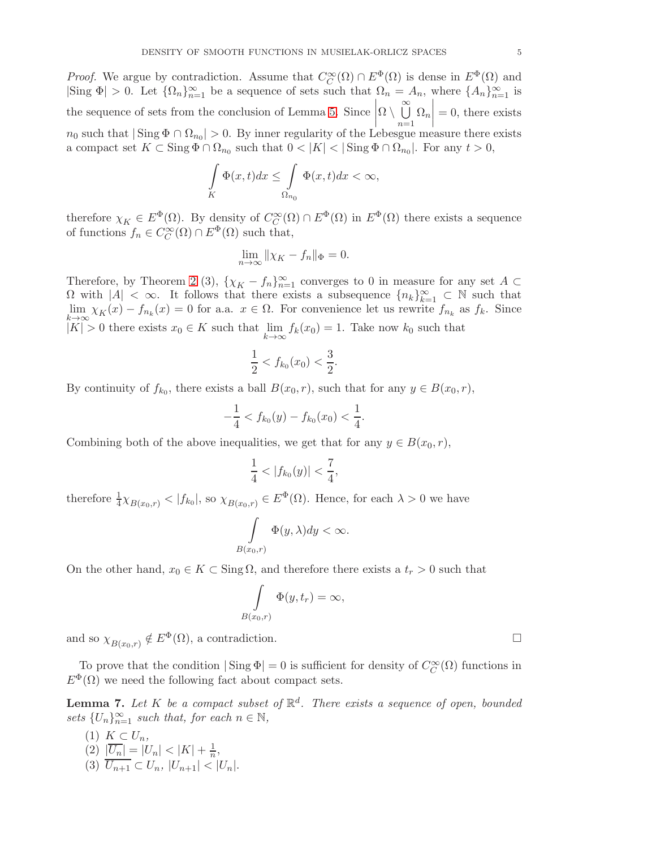*Proof.* We argue by contradiction. Assume that  $C_C^{\infty}(\Omega) \cap E^{\Phi}(\Omega)$  is dense in  $E^{\Phi}(\Omega)$  and  $|\text{Sing } \Phi| > 0$ . Let  $\{\Omega_n\}_{n=1}^{\infty}$  be a sequence of sets such that  $\Omega_n = A_n$ , where  $\{A_n\}_{n=1}^{\infty}$  is the sequence of sets from the conclusion of Lemma [5.](#page-3-0) Since  $\Omega \setminus \bigcup\limits^{\infty}$  $n=1$  $\Omega_n$  $= 0$ , there exists  $n_0$  such that  $|\operatorname{Sing} \Phi \cap \Omega_{n_0}| > 0$ . By inner regularity of the Lebesgue measure there exists a compact set  $K \subset \text{Sing } \Phi \cap \Omega_{n_0}$  such that  $0 < |K| < |\text{Sing } \Phi \cap \Omega_{n_0}|$ . For any  $t > 0$ ,

$$
\int\limits_K \Phi(x,t)dx \leq \int\limits_{\Omega_{n_0}} \Phi(x,t)dx < \infty,
$$

therefore  $\chi_K \in E^{\Phi}(\Omega)$ . By density of  $C_C^{\infty}(\Omega) \cap E^{\Phi}(\Omega)$  in  $E^{\Phi}(\Omega)$  there exists a sequence of functions  $f_n \in C_C^{\infty}(\Omega) \cap E^{\Phi}(\Omega)$  such that,

$$
\lim_{n \to \infty} \|\chi_K - f_n\|_{\Phi} = 0.
$$

Therefore, by Theorem [2](#page-1-0) (3),  $\{\chi_K - f_n\}_{n=1}^{\infty}$  converges to 0 in measure for any set  $A \subset$  $\Omega$  with  $|A| < \infty$ . It follows that there exists a subsequence  ${n_k}_{k=1}^{\infty} \subset \mathbb{N}$  such that  $\lim_{x\to\infty} \chi_K(x) - f_{n_k}(x) = 0$  for a.a.  $x \in \Omega$ . For convenience let us rewrite  $f_{n_k}$  as  $f_k$ . Since  $k\rightarrow\infty$  $|K| > 0$  there exists  $x_0 \in K$  such that  $\lim_{k \to \infty}$  $f_k(x_0) = 1$ . Take now  $k_0$  such that

$$
\frac{1}{2} < f_{k_0}(x_0) < \frac{3}{2}.
$$

By continuity of  $f_{k_0}$ , there exists a ball  $B(x_0, r)$ , such that for any  $y \in B(x_0, r)$ ,

$$
-\frac{1}{4} < f_{k_0}(y) - f_{k_0}(x_0) < \frac{1}{4}.
$$

Combining both of the above inequalities, we get that for any  $y \in B(x_0, r)$ ,

$$
\frac{1}{4} < |f_{k_0}(y)| < \frac{7}{4}
$$

,

therefore  $\frac{1}{4}\chi_{B(x_0,r)} < |f_{k_0}|$ , so  $\chi_{B(x_0,r)} \in E^{\Phi}(\Omega)$ . Hence, for each  $\lambda > 0$  we have

$$
\int_{B(x_0,r)} \Phi(y,\lambda) dy < \infty.
$$

On the other hand,  $x_0 \in K \subset \text{Sing }\Omega$ , and therefore there exists a  $t_r > 0$  such that

$$
\int\limits_{B(x_0,r)}\Phi(y,t_r)=\infty,
$$

and so  $\chi_{B(x_0,r)} \notin E^{\Phi}(\Omega)$ , a contradiction.

To prove that the condition  $|\operatorname{Sing} \Phi| = 0$  is sufficient for density of  $C_C^{\infty}(\Omega)$  functions in  $E^{\Phi}(\Omega)$  we need the following fact about compact sets.

<span id="page-4-0"></span>**Lemma 7.** Let K be a compact subset of  $\mathbb{R}^d$ . There exists a sequence of open, bounded sets  $\{U_n\}_{n=1}^{\infty}$  such that, for each  $n \in \mathbb{N}$ ,

(1)  $K \subset U_n$ , (2)  $|\overline{U_n}| = |U_n| < |K| + \frac{1}{n},$ (3)  $\overline{U_{n+1}} \subset U_n$ ,  $|U_{n+1}| < |U_n|$ .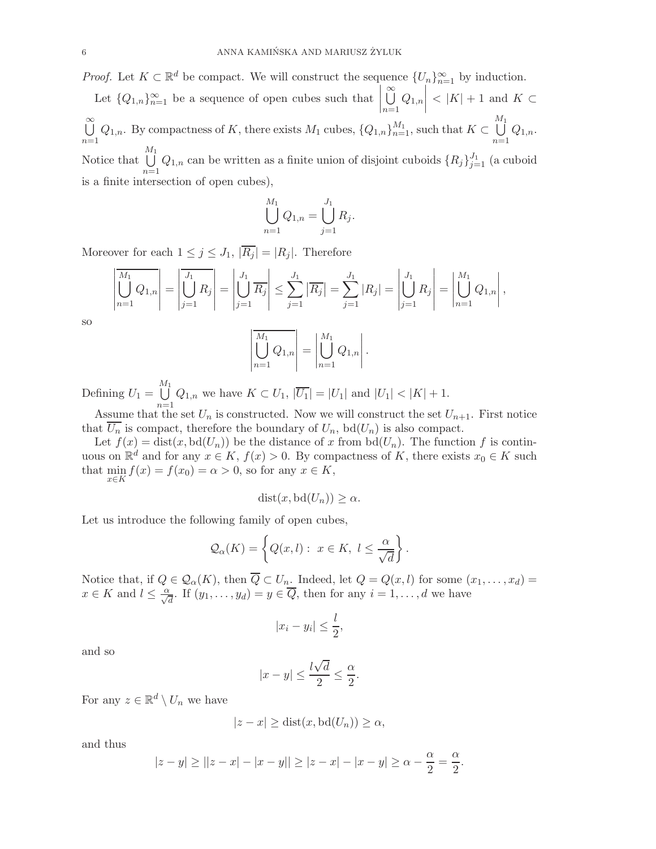*Proof.* Let  $K \subset \mathbb{R}^d$  be compact. We will construct the sequence  $\{U_n\}_{n=1}^{\infty}$  by induction.

Let  ${Q_{1,n}}_{n=1}^{\infty}$  be a sequence of open cubes such that S∞  $n=1$  $Q_{1,n}$  $<$  |K| + 1 and K  $\subset$ ∞<br>Ü  $\bigcup_{n=1}^{\infty} Q_{1,n}$ . By compactness of K, there exists  $M_1$  cubes,  $\{Q_{1,n}\}_{n=1}^{M_1}$ , such that  $K \subset$  $\bigcup^{M_1}$  $n=1$  $Q_{1,n}$ . Notice that  $\bigcup_{i=1}^{M_1} Q_{1,n}$  can be written as a finite union of disjoint cuboids  $\{R_j\}_{j=1}^{J_1}$  (a cuboid  $n=1$ is a finite intersection of open cubes),

$$
\bigcup_{n=1}^{M_1} Q_{1,n} = \bigcup_{j=1}^{J_1} R_j.
$$

Moreover for each  $1 \leq j \leq J_1$ ,  $|\overline{R_j}| = |R_j|$ . Therefore

$$
\left| \overline{\bigcup_{n=1}^{M_1} Q_{1,n}} \right| = \left| \overline{\bigcup_{j=1}^{J_1} R_j} \right| = \left| \bigcup_{j=1}^{J_1} \overline{R_j} \right| \le \sum_{j=1}^{J_1} \left| \overline{R_j} \right| = \sum_{j=1}^{J_1} \left| R_j \right| = \left| \bigcup_{j=1}^{J_1} R_j \right| = \left| \bigcup_{n=1}^{M_1} Q_{1,n} \right|
$$

,

so

$$
\left| \bigcup_{n=1}^{M_1} Q_{1,n} \right| = \left| \bigcup_{n=1}^{M_1} Q_{1,n} \right|.
$$

Defining  $U_1 =$  $\bigcup^{M_1}$  $\bigcup_{n=1} Q_{1,n}$  we have  $K \subset U_1$ ,  $|U_1| = |U_1|$  and  $|U_1| < |K| + 1$ .

Assume that the set  $U_n$  is constructed. Now we will construct the set  $U_{n+1}$ . First notice that  $\overline{U_n}$  is compact, therefore the boundary of  $U_n$ , bd $(U_n)$  is also compact.

Let  $f(x) = \text{dist}(x, \text{bd}(U_n))$  be the distance of x from  $\text{bd}(U_n)$ . The function f is continuous on  $\mathbb{R}^d$  and for any  $x \in K$ ,  $f(x) > 0$ . By compactness of K, there exists  $x_0 \in K$  such that min  $\min_{x \in K} f(x) = f(x_0) = \alpha > 0$ , so for any  $x \in K$ ,

$$
dist(x, bd(U_n)) \ge \alpha.
$$

Let us introduce the following family of open cubes,

$$
\mathcal{Q}_{\alpha}(K) = \left\{ Q(x, l) : x \in K, l \le \frac{\alpha}{\sqrt{d}} \right\}.
$$

Notice that, if  $Q \in \mathcal{Q}_{\alpha}(K)$ , then  $Q \subset U_n$ . Indeed, let  $Q = Q(x, l)$  for some  $(x_1, \ldots, x_d)$  $x \in K$  and  $l \leq \frac{\alpha}{\sqrt{d}}$ . If  $(y_1, \ldots, y_d) = y \in \overline{Q}$ , then for any  $i = 1, \ldots, d$  we have

$$
|x_i - y_i| \le \frac{l}{2},
$$

and so

$$
|x-y|\leq \frac{l\sqrt{d}}{2}\leq \frac{\alpha}{2}.
$$

For any  $z \in \mathbb{R}^d \setminus U_n$  we have

$$
|z - x| \ge \text{dist}(x, \text{bd}(U_n)) \ge \alpha,
$$

and thus

$$
|z - y| \ge ||z - x| - |x - y|| \ge |z - x| - |x - y| \ge \alpha - \frac{\alpha}{2} = \frac{\alpha}{2}.
$$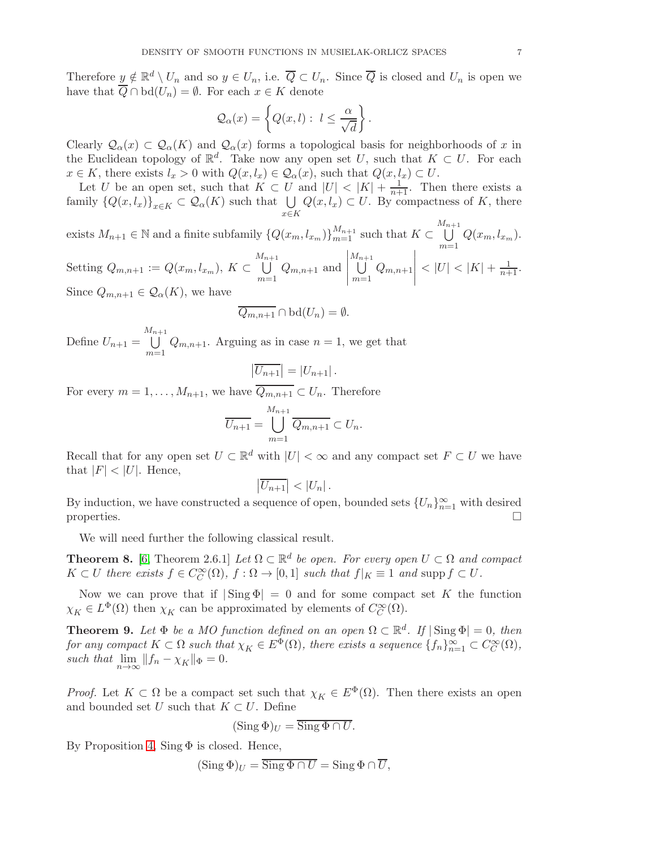Therefore  $\underline{y} \notin \mathbb{R}^d \setminus U_n$  and so  $y \in U_n$ , i.e.  $\overline{Q} \subset U_n$ . Since  $\overline{Q}$  is closed and  $U_n$  is open we have that  $\overline{Q} \cap \text{bd}(U_n) = \emptyset$ . For each  $x \in K$  denote

$$
\mathcal{Q}_{\alpha}(x) = \left\{ Q(x, l) : l \leq \frac{\alpha}{\sqrt{d}} \right\}.
$$

Clearly  $\mathcal{Q}_{\alpha}(x) \subset \mathcal{Q}_{\alpha}(K)$  and  $\mathcal{Q}_{\alpha}(x)$  forms a topological basis for neighborhoods of x in the Euclidean topology of  $\mathbb{R}^d$ . Take now any open set U, such that  $K \subset U$ . For each  $x \in K$ , there exists  $l_x > 0$  with  $Q(x, l_x) \in \mathcal{Q}_\alpha(x)$ , such that  $Q(x, l_x) \subset U$ .

Let U be an open set, such that  $K \subset U$  and  $|U| < |K| + \frac{1}{n+1}$ . Then there exists a family  $\{Q(x, l_x)\}_{x \in K} \subset \mathcal{Q}_{\alpha}(K)$  such that  $\bigcup_{x \in K}$  $Q(x, l_x) \subset U$ . By compactness of K, there

exists  $M_{n+1} \in \mathbb{N}$  and a finite subfamily  $\{Q(x_m, l_{x_m})\}_{m=1}^{M_{n+1}}$  such that  $K \subset$  $\bigcup^{M_{n+1}}$  $\bigcup_{m=1} Q(x_m, l_{x_m}).$ Setting  $Q_{m,n+1} := Q(x_m, l_{x_m}), K \subset$  $\bigcup^{M_{n+1}}$  $m=1$  $Q_{m,n+1}$  and  $\begin{array}{c} \begin{array}{c} \begin{array}{c} \begin{array}{c} \end{array}\\ \end{array} \end{array} \end{array}$  $\bigcup^{M_{n+1}}$  $m=1$  $Q_{m,n+1}$  $\begin{array}{c} \begin{array}{c} \begin{array}{c} \begin{array}{c} \end{array}\\ \end{array} \end{array} \end{array}$  $<$   $|U|$   $<$   $|K|$  +  $\frac{1}{n+1}$ . Since  $Q_{m,n+1} \in \mathcal{Q}_{\alpha}(K)$ , we have

$$
\overline{Q_{m,n+1}} \cap \mathrm{bd}(U_n) = \emptyset.
$$

Define  $U_{n+1} =$  $\bigcup^{M_{n+1}}$  $m=1$  $Q_{m,n+1}$ . Arguing as in case  $n = 1$ , we get that

 $\overline{\phantom{a}}$ 

$$
\left|\overline{U_{n+1}}\right| = \left|U_{n+1}\right|.
$$

For every  $m = 1, \ldots, M_{n+1}$ , we have  $Q_{m,n+1} \subset U_n$ . Therefore

$$
\overline{U_{n+1}} = \bigcup_{m=1}^{M_{n+1}} \overline{Q_{m,n+1}} \subset U_n.
$$

Recall that for any open set  $U \subset \mathbb{R}^d$  with  $|U| < \infty$  and any compact set  $F \subset U$  we have that  $|F| < |U|$ . Hence,

$$
\left|\overline{U_{n+1}}\right| < \left|U_n\right|.
$$

By induction, we have constructed a sequence of open, bounded sets  $\{U_n\}_{n=1}^{\infty}$  with desired properties.  $\Box$ 

We will need further the following classical result.

<span id="page-6-0"></span>**Theorem 8.** [\[6,](#page-9-11) Theorem 2.6.1] Let  $\Omega \subset \mathbb{R}^d$  be open. For every open  $U \subset \Omega$  and compact  $K \subset U$  there exists  $f \in C_C^{\infty}(\Omega)$ ,  $f : \Omega \to [0,1]$  such that  $f|_K \equiv 1$  and supp  $f \subset U$ .

Now we can prove that if  $|\text{Sing }\Phi|=0$  and for some compact set K the function  $\chi_K \in L^{\Phi}(\Omega)$  then  $\chi_K$  can be approximated by elements of  $C_C^{\infty}(\Omega)$ .

<span id="page-6-1"></span>**Theorem 9.** Let  $\Phi$  be a MO function defined on an open  $\Omega \subset \mathbb{R}^d$ . If  $|\operatorname{Sing} \Phi| = 0$ , then for any compact  $K \subset \Omega$  such that  $\chi_K \in E^{\Phi}(\Omega)$ , there exists a sequence  $\{f_n\}_{n=1}^{\infty} \subset C_C^{\infty}(\Omega)$ , such that  $\lim_{n\to\infty} ||f_n - \chi_K||_{\Phi} = 0.$ 

*Proof.* Let  $K \subset \Omega$  be a compact set such that  $\chi_K \in E^{\Phi}(\Omega)$ . Then there exists an open and bounded set U such that  $K \subset U$ . Define

$$
(\mathrm{Sing}\,\Phi)_U=\overline{\mathrm{Sing}\,\Phi\cap U}.
$$

By Proposition [4,](#page-3-1)  $Sing \Phi$  is closed. Hence,

$$
(\operatorname{Sing} \Phi)_U = \operatorname{Sing} \Phi \cap U = \operatorname{Sing} \Phi \cap U,
$$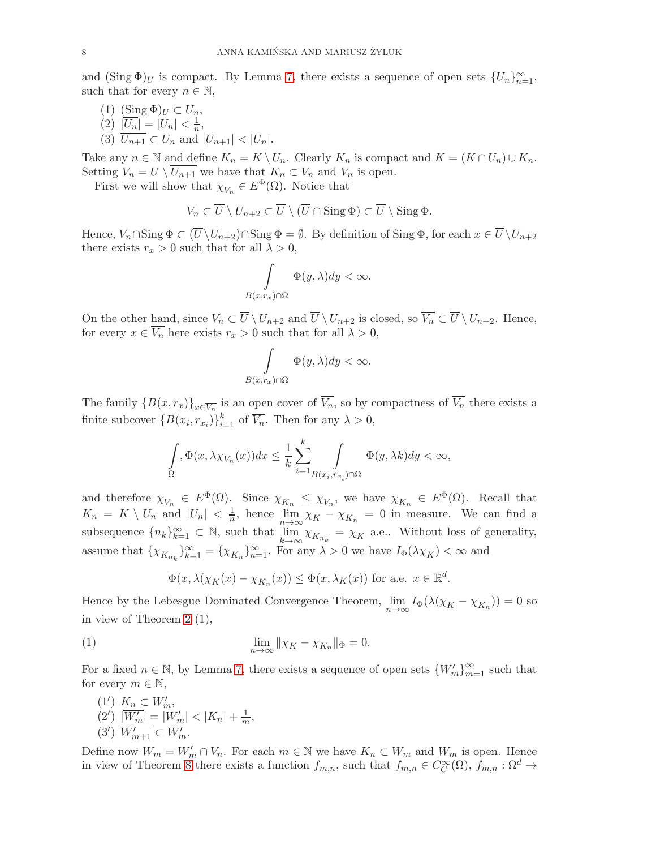and  $(\text{Sing }\Phi)_U$  is compact. By Lemma [7,](#page-4-0) there exists a sequence of open sets  $\{U_n\}_{n=1}^{\infty}$ , such that for every  $n \in \mathbb{N}$ ,

(1)  $(\underline{\text{Sing}}\,\Phi)_U \subset U_n,$ (2)  $|\overline{U_n}| = |U_n| < \frac{1}{n}$ , (3)  $U_{n+1} \subset U_n$  and  $|U_{n+1}| < |U_n|$ .

Take any  $n \in \mathbb{N}$  and define  $K_n = K \setminus U_n$ . Clearly  $K_n$  is compact and  $K = (K \cap U_n) \cup K_n$ . Setting  $V_n = U \setminus \overline{U_{n+1}}$  we have that  $K_n \subset V_n$  and  $V_n$  is open.

First we will show that  $\chi_{V_n} \in E^{\Phi}(\Omega)$ . Notice that

$$
V_n \subset \overline{U} \setminus U_{n+2} \subset \overline{U} \setminus (\overline{U} \cap \operatorname{Sing} \Phi) \subset \overline{U} \setminus \operatorname{Sing} \Phi.
$$

Hence,  $V_n \cap \text{Sing } \Phi \subset (\overline{U} \setminus U_{n+2}) \cap \text{Sing } \Phi = \emptyset$ . By definition of  $\text{Sing } \Phi$ , for each  $x \in \overline{U} \setminus U_{n+2}$ there exists  $r_x > 0$  such that for all  $\lambda > 0$ ,

$$
\int_{B(x,r_x)\cap\Omega} \Phi(y,\lambda) dy < \infty.
$$

On the other hand, since  $V_n \subset \overline{U} \setminus U_{n+2}$  and  $\overline{U} \setminus U_{n+2}$  is closed, so  $\overline{V_n} \subset \overline{U} \setminus U_{n+2}$ . Hence, for every  $x \in \overline{V_n}$  here exists  $r_x > 0$  such that for all  $\lambda > 0$ ,

$$
\int\limits_{B(x,r_x)\cap\Omega} \Phi(y,\lambda) dy < \infty.
$$

The family  ${B(x,r_x)}_{x \in \overline{V_n}}$  is an open cover of  $V_n$ , so by compactness of  $V_n$  there exists a finite subcover  $\{B(x_i, r_{x_i})\}_{i=1}^k$  of  $\overline{V_n}$ . Then for any  $\lambda > 0$ ,

$$
\int_{\Omega} \Phi(x, \lambda \chi_{V_n}(x)) dx \leq \frac{1}{k} \sum_{i=1}^k \int_{B(x_i, r_{x_i}) \cap \Omega} \Phi(y, \lambda k) dy < \infty,
$$

and therefore  $\chi_{V_n} \in E^{\Phi}(\Omega)$ . Since  $\chi_{K_n} \leq \chi_{V_n}$ , we have  $\chi_{K_n} \in E^{\Phi}(\Omega)$ . Recall that  $K_n = K \setminus U_n$  and  $|U_n| < \frac{1}{n}$ , hence  $\lim_{n \to \infty} \chi_K - \chi_{K_n} = 0$  in measure. We can find a subsequence  ${n_k}_{k=1}^{\infty} \subset \mathbb{N}$ , such that  $\lim_{k \to \infty} \chi_{K_{n_k}} = \chi_K$  a.e.. Without loss of generality, assume that  $\{\chi_{K_{n_k}}\}_{k=1}^{\infty} = \{\chi_{K_n}\}_{n=1}^{\infty}$ . For any  $\lambda > 0$  we have  $I_{\Phi}(\lambda \chi_K) < \infty$  and

<span id="page-7-0"></span>
$$
\Phi(x, \lambda(\chi_K(x) - \chi_{K_n}(x)) \leq \Phi(x, \lambda_K(x))
$$
 for a.e.  $x \in \mathbb{R}^d$ .

Hence by the Lebesgue Dominated Convergence Theorem,  $\lim_{n \to \infty} I_{\Phi}(\lambda(\chi_K - \chi_{K_n})) = 0$  so in view of Theorem [2](#page-1-0) (1),

(1) 
$$
\lim_{n \to \infty} \|\chi_K - \chi_{K_n}\|_{\Phi} = 0.
$$

For a fixed  $n \in \mathbb{N}$ , by Lemma [7,](#page-4-0) there exists a sequence of open sets  $\{W'_m\}_{m=1}^{\infty}$  such that for every  $m \in \mathbb{N}$ ,

$$
(1')\ \ K_n \subset W'_m,
$$
  
\n
$$
(2')\ \frac{|W'_m|}{|W'_m|} = |W'_m| < |K_n| + \frac{1}{m},
$$
  
\n
$$
(3')\ \frac{|W'_m|}{|W'_m|} \subset W'_m.
$$

Define now  $W_m = W'_m \cap V_n$ . For each  $m \in \mathbb{N}$  we have  $K_n \subset W_m$  and  $W_m$  is open. Hence in view of Theorem [8](#page-6-0) there exists a function  $f_{m,n}$ , such that  $f_{m,n} \in C_C^{\infty}(\Omega)$ ,  $f_{m,n} : \Omega^d \to$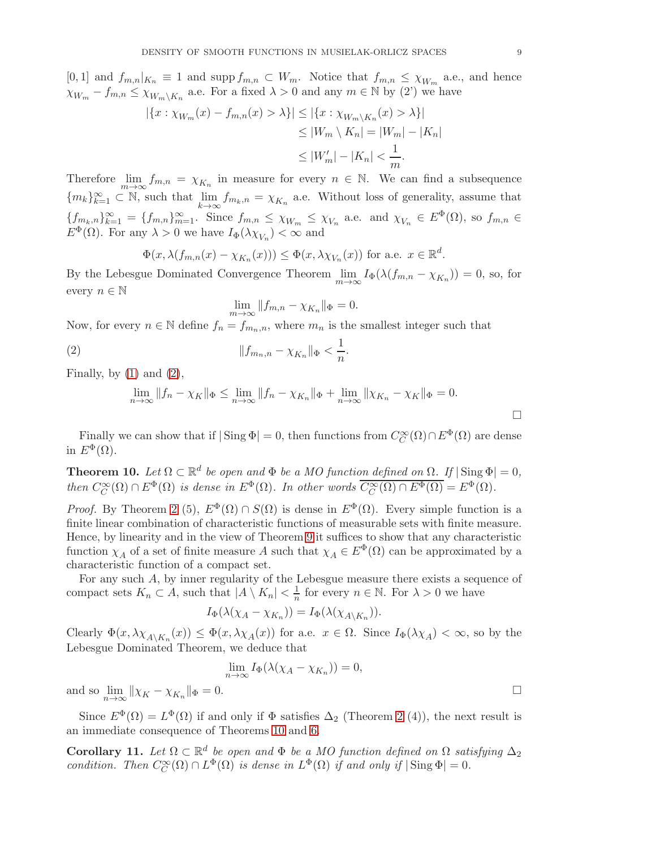[0, 1] and  $f_{m,n}|_{K_n} \equiv 1$  and supp  $f_{m,n} \subset W_m$ . Notice that  $f_{m,n} \leq \chi_{W_m}$  a.e., and hence  $\chi_{W_m} - f_{m,n} \leq \chi_{W_m \setminus K_n}$  a.e. For a fixed  $\lambda > 0$  and any  $m \in \mathbb{N}$  by (2') we have

$$
|\{x : \chi_{W_m}(x) - f_{m,n}(x) > \lambda\}| \le |\{x : \chi_{W_m \setminus K_n}(x) > \lambda\}|
$$
  
\n
$$
\le |W_m \setminus K_n| = |W_m| - |K_n|
$$
  
\n
$$
\le |W'_m| - |K_n| < \frac{1}{m}.
$$

Therefore  $\lim_{m\to\infty} f_{m,n} = \chi_{K_n}$  in measure for every  $n \in \mathbb{N}$ . We can find a subsequence  ${m_k}_{k=1}^{\infty} \subset \mathbb{N}$ , such that  $\lim_{k\to\infty} f_{m_k,n} = \chi_{K_n}$  a.e. Without loss of generality, assume that  ${f_{m_k,n}}_{k=1}^{\infty} = {f_{m,n}}_{m=1}^{\infty}$ . Since  $f_{m,n} \leq \chi_{W_m} \leq \chi_{V_n}$  a.e. and  $\chi_{V_n} \in E^{\Phi}(\Omega)$ , so  $f_{m,n} \in$  $E^{\Phi}(\Omega)$ . For any  $\lambda > 0$  we have  $I_{\Phi}(\lambda \chi_{V_n}) < \infty$  and

$$
\Phi(x, \lambda(f_{m,n}(x) - \chi_{K_n}(x))) \leq \Phi(x, \lambda \chi_{V_n}(x))
$$
 for a.e.  $x \in \mathbb{R}^d$ .

By the Lebesgue Dominated Convergence Theorem  $\lim_{m \to \infty} I_{\Phi}(\lambda(f_{m,n} - \chi_{K_n})) = 0$ , so, for every  $n \in \mathbb{N}$ 

<span id="page-8-0"></span>
$$
\lim_{m \to \infty} \|f_{m,n} - \chi_{K_n}\|_{\Phi} = 0.
$$

Now, for every  $n \in \mathbb{N}$  define  $f_n = f_{m_n,n}$ , where  $m_n$  is the smallest integer such that

(2) 
$$
||f_{m_n,n} - \chi_{K_n}||_{\Phi} < \frac{1}{n}.
$$

Finally, by  $(1)$  and  $(2)$ ,

$$
\lim_{n \to \infty} ||f_n - \chi_K||_{\Phi} \le \lim_{n \to \infty} ||f_n - \chi_{K_n}||_{\Phi} + \lim_{n \to \infty} ||\chi_{K_n} - \chi_K||_{\Phi} = 0.
$$

Finally we can show that if  $|\operatorname{Sing} \Phi| = 0$ , then functions from  $C_C^{\infty}(\Omega) \cap E^{\Phi}(\Omega)$  are dense in  $E^{\Phi}(\Omega)$ .

<span id="page-8-1"></span>**Theorem 10.** Let  $\Omega \subset \mathbb{R}^d$  be open and  $\Phi$  be a MO function defined on  $\Omega$ . If  $|\operatorname{Sing} \Phi| = 0$ , then  $C_C^{\infty}(\Omega) \cap E^{\Phi}(\Omega)$  is dense in  $E^{\Phi}(\Omega)$ . In other words  $\overline{C_C^{\infty}(\Omega) \cap E^{\Phi}(\Omega)} = E^{\Phi}(\Omega)$ .

*Proof.* By Theorem [2](#page-1-0) (5),  $E^{\Phi}(\Omega) \cap S(\Omega)$  is dense in  $E^{\Phi}(\Omega)$ . Every simple function is a finite linear combination of characteristic functions of measurable sets with finite measure. Hence, by linearity and in the view of Theorem [9](#page-6-1) it suffices to show that any characteristic function  $\chi_A$  of a set of finite measure A such that  $\chi_A \in E^{\Phi}(\Omega)$  can be approximated by a characteristic function of a compact set.

For any such A, by inner regularity of the Lebesgue measure there exists a sequence of compact sets  $K_n \subset A$ , such that  $|A \setminus K_n| < \frac{1}{n}$  for every  $n \in \mathbb{N}$ . For  $\lambda > 0$  we have

$$
I_{\Phi}(\lambda(\chi_A - \chi_{K_n})) = I_{\Phi}(\lambda(\chi_{A \setminus K_n})).
$$

Clearly  $\Phi(x, \lambda \chi_{A \setminus K_n}(x)) \leq \Phi(x, \lambda \chi_A(x))$  for a.e.  $x \in \Omega$ . Since  $I_{\Phi}(\lambda \chi_A) < \infty$ , so by the Lebesgue Dominated Theorem, we deduce that

$$
\lim_{n \to \infty} I_{\Phi}(\lambda(\chi_A - \chi_{K_n})) = 0,
$$

and so  $\lim_{n \to \infty} ||\chi_K - \chi_{K_n}||_{\Phi} = 0.$ 

Since  $E^{\Phi}(\Omega) = L^{\Phi}(\Omega)$  if and only if  $\Phi$  satisfies  $\Delta_2$  (Theorem [2](#page-1-0) (4)), the next result is an immediate consequence of Theorems [10](#page-8-1) and [6.](#page-3-2)

<span id="page-8-2"></span>Corollary 11. Let  $\Omega \subset \mathbb{R}^d$  be open and  $\Phi$  be a MO function defined on  $\Omega$  satisfying  $\Delta_2$ condition. Then  $C_C^{\infty}(\Omega) \cap L^{\Phi}(\Omega)$  is dense in  $L^{\Phi}(\Omega)$  if and only if  $|\operatorname{Sing} \Phi| = 0$ .

 $\Box$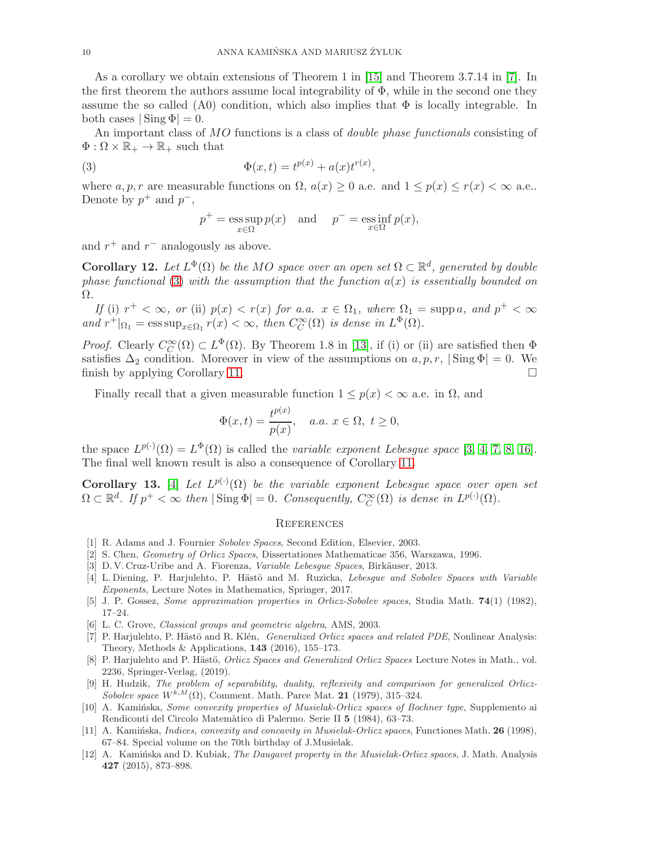As a corollary we obtain extensions of Theorem 1 in [\[15\]](#page-10-0) and Theorem 3.7.14 in [\[7\]](#page-9-2). In the first theorem the authors assume local integrability of  $\Phi$ , while in the second one they assume the so called (A0) condition, which also implies that  $\Phi$  is locally integrable. In both cases  $|\text{Sing }\Phi|=0.$ 

An important class of MO functions is a class of *double phase functionals* consisting of  $\Phi : \Omega \times \mathbb{R}_+ \to \mathbb{R}_+$  such that

(3) 
$$
\Phi(x,t) = t^{p(x)} + a(x)t^{r(x)},
$$

where a, p, r are measurable functions on  $\Omega$ ,  $a(x) \geq 0$  a.e. and  $1 \leq p(x) \leq r(x) < \infty$  a.e.. Denote by  $p^+$  and  $p^-$ ,

<span id="page-9-12"></span>
$$
p^+ = \operatorname*{ess\,sup}_{x \in \Omega} p(x)
$$
 and  $p^- = \operatorname*{ess\,inf}_{x \in \Omega} p(x)$ ,

and  $r^+$  and  $r^-$  analogously as above.

**Corollary 12.** Let  $L^{\Phi}(\Omega)$  be the MO space over an open set  $\Omega \subset \mathbb{R}^d$ , generated by double phase functional [\(3\)](#page-9-12) with the assumption that the function  $a(x)$  is essentially bounded on Ω.

If (i)  $r^+ < \infty$ , or (ii)  $p(x) < r(x)$  for a.a.  $x \in \Omega_1$ , where  $\Omega_1 = \text{supp } a$ , and  $p^+ < \infty$ and  $r^+|_{\Omega_1} = \operatorname{ess\,sup}_{x \in \Omega_1} r(x) < \infty$ , then  $C_C^{\infty}(\Omega)$  is dense in  $L^{\Phi}(\Omega)$ .

*Proof.* Clearly  $C_C^{\infty}(\Omega) \subset L^{\Phi}(\Omega)$ . By Theorem 1.8 in [\[13\]](#page-10-1), if (i) or (ii) are satisfied then  $\Phi$ satisfies  $\Delta_2$  condition. Moreover in view of the assumptions on  $a, p, r$ ,  $|\text{Sing } \Phi| = 0$ . We finish by applying Corollary 11 finish by applying Corollary [11.](#page-8-2)

Finally recall that a given measurable function  $1 \leq p(x) < \infty$  a.e. in  $\Omega$ , and

$$
\Phi(x,t) = \frac{t^{p(x)}}{p(x)}, \quad a.a. \ x \in \Omega, \ t \ge 0,
$$

the space  $L^{p(\cdot)}(\Omega) = L^{\Phi}(\Omega)$  is called the variable exponent Lebesgue space [\[3,](#page-9-0) [4,](#page-9-1) [7,](#page-9-2) [8,](#page-9-3) [16\]](#page-10-3). The final well known result is also a consequence of Corollary [11.](#page-8-2)

**Corollary 13.** [\[4\]](#page-9-1) Let  $L^{p(\cdot)}(\Omega)$  be the variable exponent Lebesgue space over open set  $\Omega \subset \mathbb{R}^d$ . If  $p^+ < \infty$  then  $|\operatorname{Sing} \Phi| = 0$ . Consequently,  $C_C^{\infty}(\Omega)$  is dense in  $L^{p(\cdot)}(\Omega)$ .

## **REFERENCES**

- <span id="page-9-8"></span><span id="page-9-4"></span>[1] R. Adams and J. Fournier Sobolev Spaces, Second Edition, Elsevier, 2003.
- <span id="page-9-0"></span>[2] S. Chen, Geometry of Orlicz Spaces, Dissertationes Mathematicae 356, Warszawa, 1996.
- <span id="page-9-1"></span>[3] D. V. Cruz-Uribe and A. Fiorenza, Variable Lebesgue Spaces, Birkäuser, 2013.
- [4] L. Diening, P. Harjulehto, P. Hästö and M. Ruzicka, Lebesgue and Sobolev Spaces with Variable Exponents, Lecture Notes in Mathematics, Springer, 2017.
- <span id="page-9-11"></span><span id="page-9-9"></span>[5] J. P. Gossez, Some approximation properties in Orlicz-Sobolev spaces, Studia Math. 74(1) (1982), 17–24.
- <span id="page-9-2"></span>[6] L. C. Grove, Classical groups and geometric algebra, AMS, 2003.
- [7] P. Harjulehto, P. Hästö and R. Klén, Generalized Orlicz spaces and related PDE, Nonlinear Analysis: Theory, Methods & Applications, 143 (2016), 155–173.
- <span id="page-9-3"></span>[8] P. Harjulehto and P. Hästö, Orlicz Spaces and Generalized Orlicz Spaces Lecture Notes in Math., vol. 2236, Springer-Verlag, (2019).
- <span id="page-9-5"></span>[9] H. Hudzik, The problem of separability, duality, reflexivity and comparison for generalized Orlicz-Sobolev space  $W^{k,M}(\Omega)$ , Comment. Math. Parce Mat. 21 (1979), 315–324.
- <span id="page-9-10"></span>[10] A. Kaminska, Some convexity properties of Musielak-Orlicz spaces of Bochner type, Supplemento ai Rendiconti del Circolo Matem`atico di Palermo. Serie II 5 (1984), 63–73.
- <span id="page-9-6"></span>[11] A. Kamińska, *Indices, convexity and concavity in Musielak-Orlicz spaces*, Functiones Math. **26** (1998), 67–84. Special volume on the 70th birthday of J.Musielak.
- <span id="page-9-7"></span>[12] A. Kaminska and D. Kubiak, The Daugavet property in the Musielak-Orlicz spaces, J. Math. Analysis 427 (2015), 873–898.